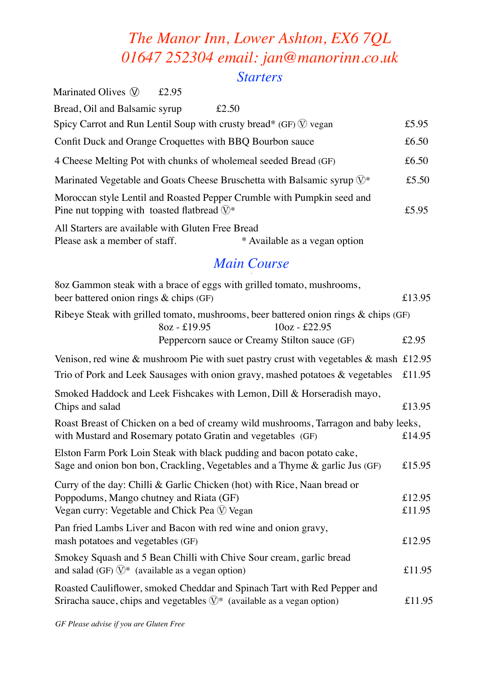# *The Manor Inn, Lower Ashton, EX6 7QL 01647 252304 email: jan@manorinn.co.uk Starters*

|                    | Marinated Olives $\mathcal{D}$<br>£2.95                                                                                                                       |                  |
|--------------------|---------------------------------------------------------------------------------------------------------------------------------------------------------------|------------------|
|                    | Bread, Oil and Balsamic syrup<br>£2.50                                                                                                                        |                  |
|                    | Spicy Carrot and Run Lentil Soup with crusty bread* (GF) $\mathbb{Q}$ vegan                                                                                   | £5.95            |
|                    | Confit Duck and Orange Croquettes with BBQ Bourbon sauce                                                                                                      | £6.50            |
|                    | 4 Cheese Melting Pot with chunks of wholemeal seeded Bread (GF)                                                                                               | £6.50            |
|                    | Marinated Vegetable and Goats Cheese Bruschetta with Balsamic syrup $\mathbb{Q}^*$                                                                            | £5.50            |
|                    | Moroccan style Lentil and Roasted Pepper Crumble with Pumpkin seed and<br>Pine nut topping with toasted flatbread $\mathbb{Q}^*$                              | £5.95            |
|                    | All Starters are available with Gluten Free Bread<br>* Available as a vegan option<br>Please ask a member of staff.                                           |                  |
| <b>Main Course</b> |                                                                                                                                                               |                  |
|                    | 8oz Gammon steak with a brace of eggs with grilled tomato, mushrooms,<br>beer battered onion rings & chips (GF)                                               | £13.95           |
|                    | Ribeye Steak with grilled tomato, mushrooms, beer battered onion rings $\&$ chips (GF)<br>8oz - £19.95<br>$10oz - £22.95$                                     |                  |
|                    | Peppercorn sauce or Creamy Stilton sauce (GF)                                                                                                                 | £2.95            |
|                    | Venison, red wine & mushroom Pie with suet pastry crust with vegetables & mash £12.95                                                                         |                  |
|                    | Trio of Pork and Leek Sausages with onion gravy, mashed potatoes $\&$ vegetables                                                                              | £11.95           |
|                    | Smoked Haddock and Leek Fishcakes with Lemon, Dill & Horseradish mayo,<br>Chips and salad                                                                     | £13.95           |
|                    | Roast Breast of Chicken on a bed of creamy wild mushrooms, Tarragon and baby leeks,<br>with Mustard and Rosemary potato Gratin and vegetables (GF)            | £14.95           |
|                    | Elston Farm Pork Loin Steak with black pudding and bacon potato cake,<br>Sage and onion bon bon, Crackling, Vegetables and a Thyme & garlic Jus (GF)          | £15.95           |
|                    | Curry of the day: Chilli & Garlic Chicken (hot) with Rice, Naan bread or                                                                                      |                  |
|                    | Poppodums, Mango chutney and Riata (GF)<br>Vegan curry: Vegetable and Chick Pea $\circledR$ Vegan                                                             | £12.95<br>£11.95 |
|                    | Pan fried Lambs Liver and Bacon with red wine and onion gravy,<br>mash potatoes and vegetables (GF)                                                           | £12.95           |
|                    | Smokey Squash and 5 Bean Chilli with Chive Sour cream, garlic bread<br>and salad (GF) $\mathbb{Q}^*$ (available as a vegan option)                            | £11.95           |
|                    | Roasted Cauliflower, smoked Cheddar and Spinach Tart with Red Pepper and<br>Sriracha sauce, chips and vegetables $\mathbb{O}^*$ (available as a vegan option) | £11.95           |